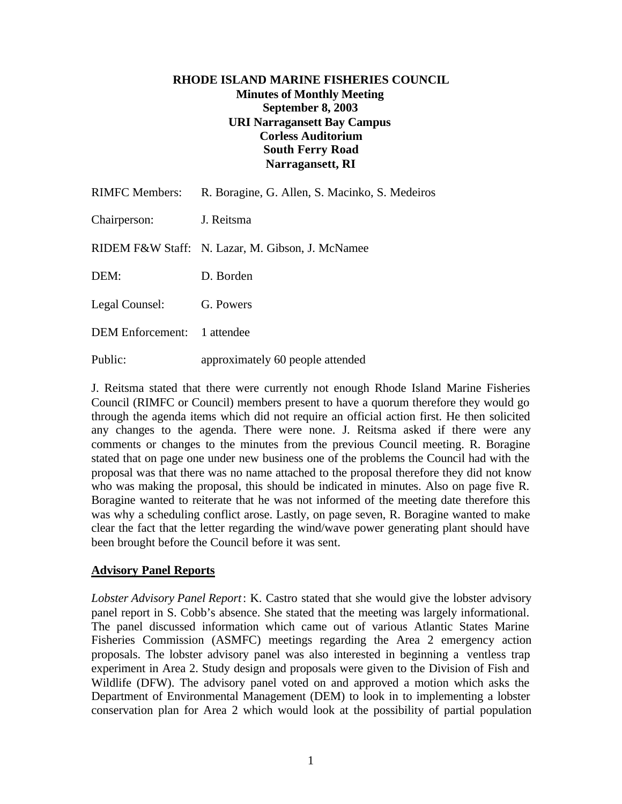### **RHODE ISLAND MARINE FISHERIES COUNCIL Minutes of Monthly Meeting September 8, 2003 URI Narragansett Bay Campus Corless Auditorium South Ferry Road Narragansett, RI**

| <b>RIMFC Members:</b>       | R. Boragine, G. Allen, S. Macinko, S. Medeiros   |
|-----------------------------|--------------------------------------------------|
| Chairperson:                | J. Reitsma                                       |
|                             | RIDEM F&W Staff: N. Lazar, M. Gibson, J. McNamee |
| DEM:                        | D. Borden                                        |
| Legal Counsel:              | G. Powers                                        |
| DEM Enforcement: 1 attendee |                                                  |
| Public:                     | approximately 60 people attended                 |

J. Reitsma stated that there were currently not enough Rhode Island Marine Fisheries Council (RIMFC or Council) members present to have a quorum therefore they would go through the agenda items which did not require an official action first. He then solicited any changes to the agenda. There were none. J. Reitsma asked if there were any comments or changes to the minutes from the previous Council meeting. R. Boragine stated that on page one under new business one of the problems the Council had with the proposal was that there was no name attached to the proposal therefore they did not know who was making the proposal, this should be indicated in minutes. Also on page five R. Boragine wanted to reiterate that he was not informed of the meeting date therefore this was why a scheduling conflict arose. Lastly, on page seven, R. Boragine wanted to make clear the fact that the letter regarding the wind/wave power generating plant should have been brought before the Council before it was sent.

# **Advisory Panel Reports**

*Lobster Advisory Panel Report*: K. Castro stated that she would give the lobster advisory panel report in S. Cobb's absence. She stated that the meeting was largely informational. The panel discussed information which came out of various Atlantic States Marine Fisheries Commission (ASMFC) meetings regarding the Area 2 emergency action proposals. The lobster advisory panel was also interested in beginning a ventless trap experiment in Area 2. Study design and proposals were given to the Division of Fish and Wildlife (DFW). The advisory panel voted on and approved a motion which asks the Department of Environmental Management (DEM) to look in to implementing a lobster conservation plan for Area 2 which would look at the possibility of partial population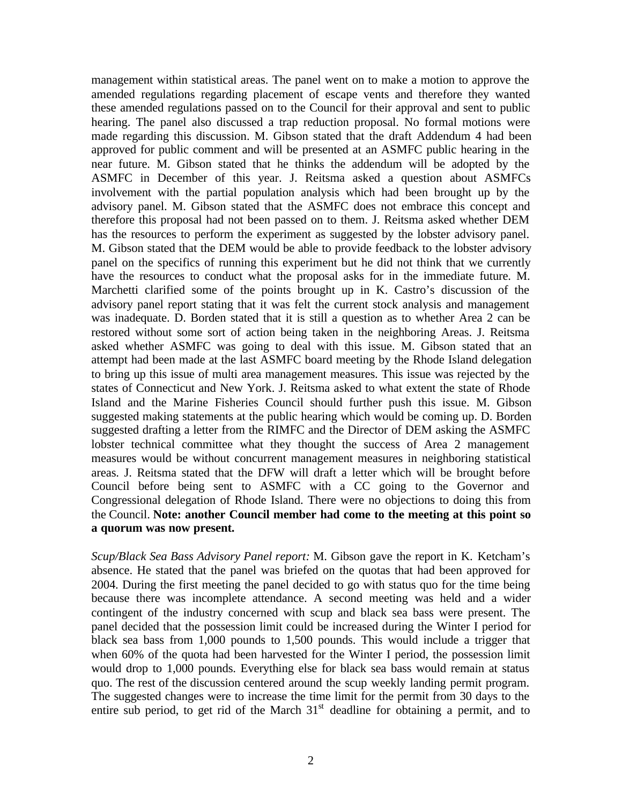management within statistical areas. The panel went on to make a motion to approve the amended regulations regarding placement of escape vents and therefore they wanted these amended regulations passed on to the Council for their approval and sent to public hearing. The panel also discussed a trap reduction proposal. No formal motions were made regarding this discussion. M. Gibson stated that the draft Addendum 4 had been approved for public comment and will be presented at an ASMFC public hearing in the near future. M. Gibson stated that he thinks the addendum will be adopted by the ASMFC in December of this year. J. Reitsma asked a question about ASMFCs involvement with the partial population analysis which had been brought up by the advisory panel. M. Gibson stated that the ASMFC does not embrace this concept and therefore this proposal had not been passed on to them. J. Reitsma asked whether DEM has the resources to perform the experiment as suggested by the lobster advisory panel. M. Gibson stated that the DEM would be able to provide feedback to the lobster advisory panel on the specifics of running this experiment but he did not think that we currently have the resources to conduct what the proposal asks for in the immediate future. M. Marchetti clarified some of the points brought up in K. Castro's discussion of the advisory panel report stating that it was felt the current stock analysis and management was inadequate. D. Borden stated that it is still a question as to whether Area 2 can be restored without some sort of action being taken in the neighboring Areas. J. Reitsma asked whether ASMFC was going to deal with this issue. M. Gibson stated that an attempt had been made at the last ASMFC board meeting by the Rhode Island delegation to bring up this issue of multi area management measures. This issue was rejected by the states of Connecticut and New York. J. Reitsma asked to what extent the state of Rhode Island and the Marine Fisheries Council should further push this issue. M. Gibson suggested making statements at the public hearing which would be coming up. D. Borden suggested drafting a letter from the RIMFC and the Director of DEM asking the ASMFC lobster technical committee what they thought the success of Area 2 management measures would be without concurrent management measures in neighboring statistical areas. J. Reitsma stated that the DFW will draft a letter which will be brought before Council before being sent to ASMFC with a CC going to the Governor and Congressional delegation of Rhode Island. There were no objections to doing this from the Council. **Note: another Council member had come to the meeting at this point so a quorum was now present.**

*Scup/Black Sea Bass Advisory Panel report:* M. Gibson gave the report in K. Ketcham's absence. He stated that the panel was briefed on the quotas that had been approved for 2004. During the first meeting the panel decided to go with status quo for the time being because there was incomplete attendance. A second meeting was held and a wider contingent of the industry concerned with scup and black sea bass were present. The panel decided that the possession limit could be increased during the Winter I period for black sea bass from 1,000 pounds to 1,500 pounds. This would include a trigger that when 60% of the quota had been harvested for the Winter I period, the possession limit would drop to 1,000 pounds. Everything else for black sea bass would remain at status quo. The rest of the discussion centered around the scup weekly landing permit program. The suggested changes were to increase the time limit for the permit from 30 days to the entire sub period, to get rid of the March  $31<sup>st</sup>$  deadline for obtaining a permit, and to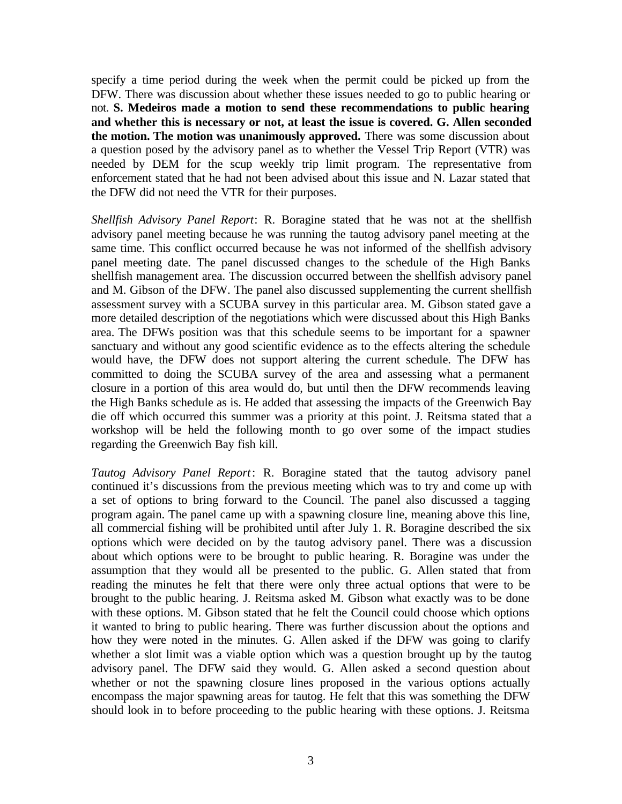specify a time period during the week when the permit could be picked up from the DFW. There was discussion about whether these issues needed to go to public hearing or not. **S. Medeiros made a motion to send these recommendations to public hearing and whether this is necessary or not, at least the issue is covered. G. Allen seconded the motion. The motion was unanimously approved.** There was some discussion about a question posed by the advisory panel as to whether the Vessel Trip Report (VTR) was needed by DEM for the scup weekly trip limit program. The representative from enforcement stated that he had not been advised about this issue and N. Lazar stated that the DFW did not need the VTR for their purposes.

*Shellfish Advisory Panel Report*: R. Boragine stated that he was not at the shellfish advisory panel meeting because he was running the tautog advisory panel meeting at the same time. This conflict occurred because he was not informed of the shellfish advisory panel meeting date. The panel discussed changes to the schedule of the High Banks shellfish management area. The discussion occurred between the shellfish advisory panel and M. Gibson of the DFW. The panel also discussed supplementing the current shellfish assessment survey with a SCUBA survey in this particular area. M. Gibson stated gave a more detailed description of the negotiations which were discussed about this High Banks area. The DFWs position was that this schedule seems to be important for a spawner sanctuary and without any good scientific evidence as to the effects altering the schedule would have, the DFW does not support altering the current schedule. The DFW has committed to doing the SCUBA survey of the area and assessing what a permanent closure in a portion of this area would do, but until then the DFW recommends leaving the High Banks schedule as is. He added that assessing the impacts of the Greenwich Bay die off which occurred this summer was a priority at this point. J. Reitsma stated that a workshop will be held the following month to go over some of the impact studies regarding the Greenwich Bay fish kill.

*Tautog Advisory Panel Report*: R. Boragine stated that the tautog advisory panel continued it's discussions from the previous meeting which was to try and come up with a set of options to bring forward to the Council. The panel also discussed a tagging program again. The panel came up with a spawning closure line, meaning above this line, all commercial fishing will be prohibited until after July 1. R. Boragine described the six options which were decided on by the tautog advisory panel. There was a discussion about which options were to be brought to public hearing. R. Boragine was under the assumption that they would all be presented to the public. G. Allen stated that from reading the minutes he felt that there were only three actual options that were to be brought to the public hearing. J. Reitsma asked M. Gibson what exactly was to be done with these options. M. Gibson stated that he felt the Council could choose which options it wanted to bring to public hearing. There was further discussion about the options and how they were noted in the minutes. G. Allen asked if the DFW was going to clarify whether a slot limit was a viable option which was a question brought up by the tautog advisory panel. The DFW said they would. G. Allen asked a second question about whether or not the spawning closure lines proposed in the various options actually encompass the major spawning areas for tautog. He felt that this was something the DFW should look in to before proceeding to the public hearing with these options. J. Reitsma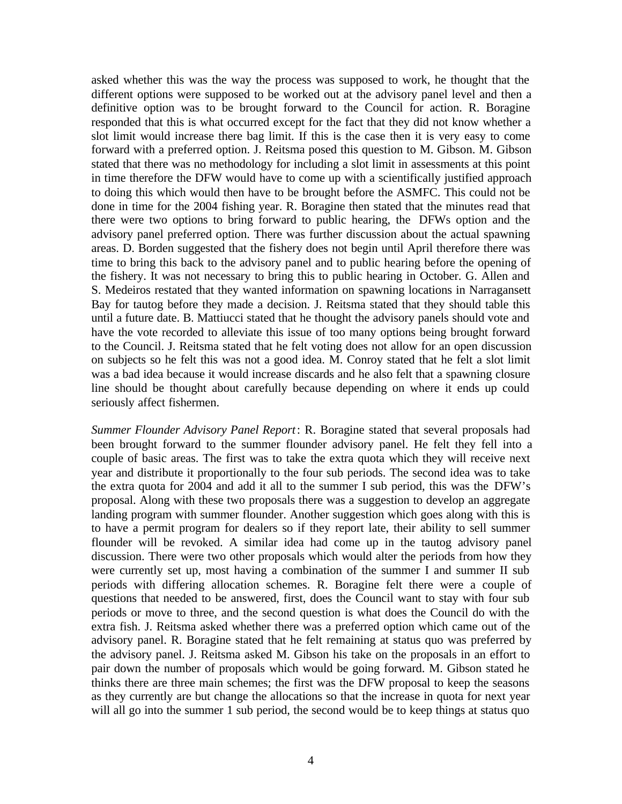asked whether this was the way the process was supposed to work, he thought that the different options were supposed to be worked out at the advisory panel level and then a definitive option was to be brought forward to the Council for action. R. Boragine responded that this is what occurred except for the fact that they did not know whether a slot limit would increase there bag limit. If this is the case then it is very easy to come forward with a preferred option. J. Reitsma posed this question to M. Gibson. M. Gibson stated that there was no methodology for including a slot limit in assessments at this point in time therefore the DFW would have to come up with a scientifically justified approach to doing this which would then have to be brought before the ASMFC. This could not be done in time for the 2004 fishing year. R. Boragine then stated that the minutes read that there were two options to bring forward to public hearing, the DFWs option and the advisory panel preferred option. There was further discussion about the actual spawning areas. D. Borden suggested that the fishery does not begin until April therefore there was time to bring this back to the advisory panel and to public hearing before the opening of the fishery. It was not necessary to bring this to public hearing in October. G. Allen and S. Medeiros restated that they wanted information on spawning locations in Narragansett Bay for tautog before they made a decision. J. Reitsma stated that they should table this until a future date. B. Mattiucci stated that he thought the advisory panels should vote and have the vote recorded to alleviate this issue of too many options being brought forward to the Council. J. Reitsma stated that he felt voting does not allow for an open discussion on subjects so he felt this was not a good idea. M. Conroy stated that he felt a slot limit was a bad idea because it would increase discards and he also felt that a spawning closure line should be thought about carefully because depending on where it ends up could seriously affect fishermen.

*Summer Flounder Advisory Panel Report*: R. Boragine stated that several proposals had been brought forward to the summer flounder advisory panel. He felt they fell into a couple of basic areas. The first was to take the extra quota which they will receive next year and distribute it proportionally to the four sub periods. The second idea was to take the extra quota for 2004 and add it all to the summer I sub period, this was the DFW's proposal. Along with these two proposals there was a suggestion to develop an aggregate landing program with summer flounder. Another suggestion which goes along with this is to have a permit program for dealers so if they report late, their ability to sell summer flounder will be revoked. A similar idea had come up in the tautog advisory panel discussion. There were two other proposals which would alter the periods from how they were currently set up, most having a combination of the summer I and summer II sub periods with differing allocation schemes. R. Boragine felt there were a couple of questions that needed to be answered, first, does the Council want to stay with four sub periods or move to three, and the second question is what does the Council do with the extra fish. J. Reitsma asked whether there was a preferred option which came out of the advisory panel. R. Boragine stated that he felt remaining at status quo was preferred by the advisory panel. J. Reitsma asked M. Gibson his take on the proposals in an effort to pair down the number of proposals which would be going forward. M. Gibson stated he thinks there are three main schemes; the first was the DFW proposal to keep the seasons as they currently are but change the allocations so that the increase in quota for next year will all go into the summer 1 sub period, the second would be to keep things at status quo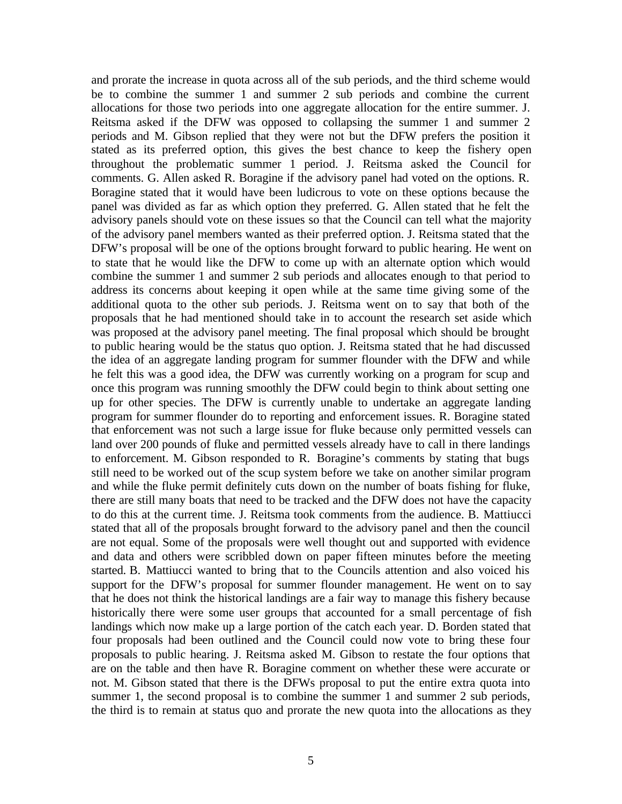and prorate the increase in quota across all of the sub periods, and the third scheme would be to combine the summer 1 and summer 2 sub periods and combine the current allocations for those two periods into one aggregate allocation for the entire summer. J. Reitsma asked if the DFW was opposed to collapsing the summer 1 and summer 2 periods and M. Gibson replied that they were not but the DFW prefers the position it stated as its preferred option, this gives the best chance to keep the fishery open throughout the problematic summer 1 period. J. Reitsma asked the Council for comments. G. Allen asked R. Boragine if the advisory panel had voted on the options. R. Boragine stated that it would have been ludicrous to vote on these options because the panel was divided as far as which option they preferred. G. Allen stated that he felt the advisory panels should vote on these issues so that the Council can tell what the majority of the advisory panel members wanted as their preferred option. J. Reitsma stated that the DFW's proposal will be one of the options brought forward to public hearing. He went on to state that he would like the DFW to come up with an alternate option which would combine the summer 1 and summer 2 sub periods and allocates enough to that period to address its concerns about keeping it open while at the same time giving some of the additional quota to the other sub periods. J. Reitsma went on to say that both of the proposals that he had mentioned should take in to account the research set aside which was proposed at the advisory panel meeting. The final proposal which should be brought to public hearing would be the status quo option. J. Reitsma stated that he had discussed the idea of an aggregate landing program for summer flounder with the DFW and while he felt this was a good idea, the DFW was currently working on a program for scup and once this program was running smoothly the DFW could begin to think about setting one up for other species. The DFW is currently unable to undertake an aggregate landing program for summer flounder do to reporting and enforcement issues. R. Boragine stated that enforcement was not such a large issue for fluke because only permitted vessels can land over 200 pounds of fluke and permitted vessels already have to call in there landings to enforcement. M. Gibson responded to R. Boragine's comments by stating that bugs still need to be worked out of the scup system before we take on another similar program and while the fluke permit definitely cuts down on the number of boats fishing for fluke, there are still many boats that need to be tracked and the DFW does not have the capacity to do this at the current time. J. Reitsma took comments from the audience. B. Mattiucci stated that all of the proposals brought forward to the advisory panel and then the council are not equal. Some of the proposals were well thought out and supported with evidence and data and others were scribbled down on paper fifteen minutes before the meeting started. B. Mattiucci wanted to bring that to the Councils attention and also voiced his support for the DFW's proposal for summer flounder management. He went on to say that he does not think the historical landings are a fair way to manage this fishery because historically there were some user groups that accounted for a small percentage of fish landings which now make up a large portion of the catch each year. D. Borden stated that four proposals had been outlined and the Council could now vote to bring these four proposals to public hearing. J. Reitsma asked M. Gibson to restate the four options that are on the table and then have R. Boragine comment on whether these were accurate or not. M. Gibson stated that there is the DFWs proposal to put the entire extra quota into summer 1, the second proposal is to combine the summer 1 and summer 2 sub periods, the third is to remain at status quo and prorate the new quota into the allocations as they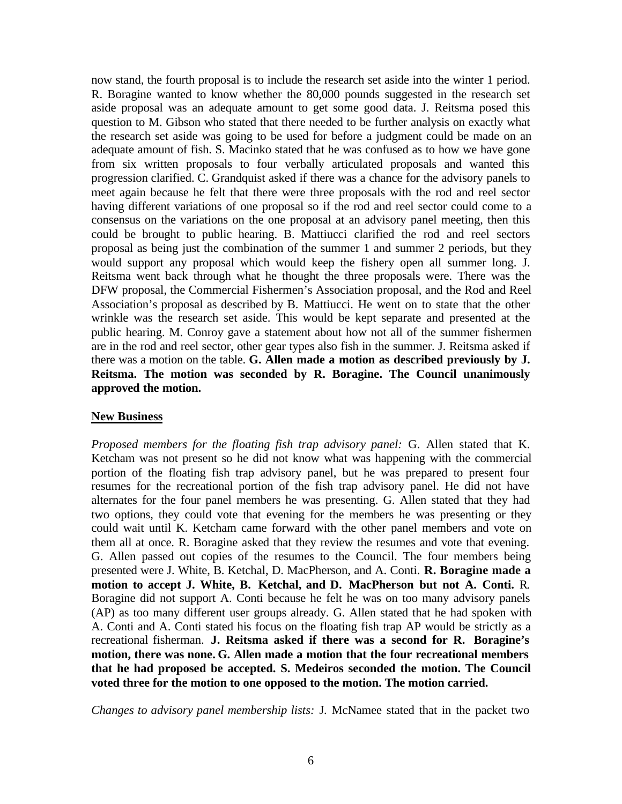now stand, the fourth proposal is to include the research set aside into the winter 1 period. R. Boragine wanted to know whether the 80,000 pounds suggested in the research set aside proposal was an adequate amount to get some good data. J. Reitsma posed this question to M. Gibson who stated that there needed to be further analysis on exactly what the research set aside was going to be used for before a judgment could be made on an adequate amount of fish. S. Macinko stated that he was confused as to how we have gone from six written proposals to four verbally articulated proposals and wanted this progression clarified. C. Grandquist asked if there was a chance for the advisory panels to meet again because he felt that there were three proposals with the rod and reel sector having different variations of one proposal so if the rod and reel sector could come to a consensus on the variations on the one proposal at an advisory panel meeting, then this could be brought to public hearing. B. Mattiucci clarified the rod and reel sectors proposal as being just the combination of the summer 1 and summer 2 periods, but they would support any proposal which would keep the fishery open all summer long. J. Reitsma went back through what he thought the three proposals were. There was the DFW proposal, the Commercial Fishermen's Association proposal, and the Rod and Reel Association's proposal as described by B. Mattiucci. He went on to state that the other wrinkle was the research set aside. This would be kept separate and presented at the public hearing. M. Conroy gave a statement about how not all of the summer fishermen are in the rod and reel sector, other gear types also fish in the summer. J. Reitsma asked if there was a motion on the table. **G. Allen made a motion as described previously by J. Reitsma. The motion was seconded by R. Boragine. The Council unanimously approved the motion.**

#### **New Business**

*Proposed members for the floating fish trap advisory panel:* G. Allen stated that K. Ketcham was not present so he did not know what was happening with the commercial portion of the floating fish trap advisory panel, but he was prepared to present four resumes for the recreational portion of the fish trap advisory panel. He did not have alternates for the four panel members he was presenting. G. Allen stated that they had two options, they could vote that evening for the members he was presenting or they could wait until K. Ketcham came forward with the other panel members and vote on them all at once. R. Boragine asked that they review the resumes and vote that evening. G. Allen passed out copies of the resumes to the Council. The four members being presented were J. White, B. Ketchal, D. MacPherson, and A. Conti. **R. Boragine made a motion to accept J. White, B. Ketchal, and D. MacPherson but not A. Conti.** R. Boragine did not support A. Conti because he felt he was on too many advisory panels (AP) as too many different user groups already. G. Allen stated that he had spoken with A. Conti and A. Conti stated his focus on the floating fish trap AP would be strictly as a recreational fisherman. **J. Reitsma asked if there was a second for R. Boragine's motion, there was none. G. Allen made a motion that the four recreational members that he had proposed be accepted. S. Medeiros seconded the motion. The Council voted three for the motion to one opposed to the motion. The motion carried.**

*Changes to advisory panel membership lists:* J. McNamee stated that in the packet two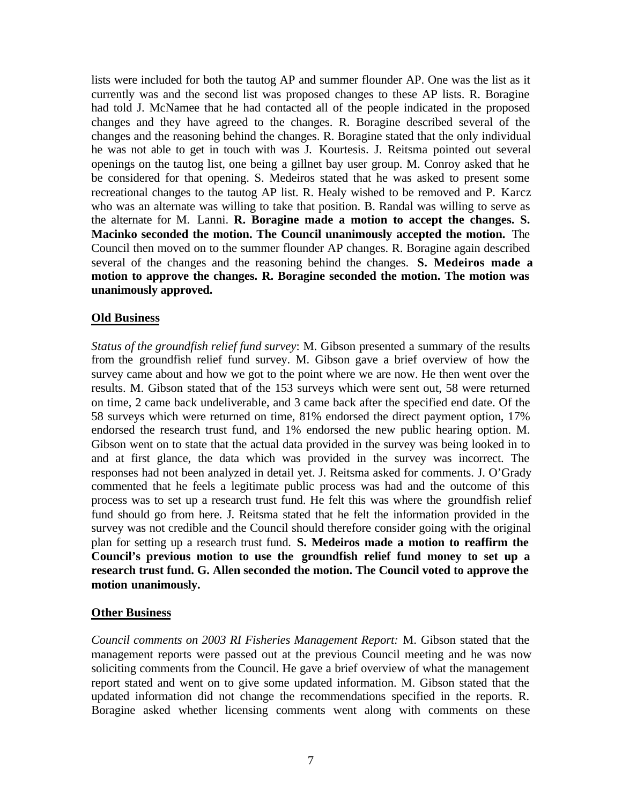lists were included for both the tautog AP and summer flounder AP. One was the list as it currently was and the second list was proposed changes to these AP lists. R. Boragine had told J. McNamee that he had contacted all of the people indicated in the proposed changes and they have agreed to the changes. R. Boragine described several of the changes and the reasoning behind the changes. R. Boragine stated that the only individual he was not able to get in touch with was J. Kourtesis. J. Reitsma pointed out several openings on the tautog list, one being a gillnet bay user group. M. Conroy asked that he be considered for that opening. S. Medeiros stated that he was asked to present some recreational changes to the tautog AP list. R. Healy wished to be removed and P. Karcz who was an alternate was willing to take that position. B. Randal was willing to serve as the alternate for M. Lanni. **R. Boragine made a motion to accept the changes. S. Macinko seconded the motion. The Council unanimously accepted the motion.** The Council then moved on to the summer flounder AP changes. R. Boragine again described several of the changes and the reasoning behind the changes. **S. Medeiros made a motion to approve the changes. R. Boragine seconded the motion. The motion was unanimously approved.**

#### **Old Business**

*Status of the groundfish relief fund survey*: M. Gibson presented a summary of the results from the groundfish relief fund survey. M. Gibson gave a brief overview of how the survey came about and how we got to the point where we are now. He then went over the results. M. Gibson stated that of the 153 surveys which were sent out, 58 were returned on time, 2 came back undeliverable, and 3 came back after the specified end date. Of the 58 surveys which were returned on time, 81% endorsed the direct payment option, 17% endorsed the research trust fund, and 1% endorsed the new public hearing option. M. Gibson went on to state that the actual data provided in the survey was being looked in to and at first glance, the data which was provided in the survey was incorrect. The responses had not been analyzed in detail yet. J. Reitsma asked for comments. J. O'Grady commented that he feels a legitimate public process was had and the outcome of this process was to set up a research trust fund. He felt this was where the groundfish relief fund should go from here. J. Reitsma stated that he felt the information provided in the survey was not credible and the Council should therefore consider going with the original plan for setting up a research trust fund. **S. Medeiros made a motion to reaffirm the Council's previous motion to use the groundfish relief fund money to set up a research trust fund. G. Allen seconded the motion. The Council voted to approve the motion unanimously.**

#### **Other Business**

*Council comments on 2003 RI Fisheries Management Report:* M. Gibson stated that the management reports were passed out at the previous Council meeting and he was now soliciting comments from the Council. He gave a brief overview of what the management report stated and went on to give some updated information. M. Gibson stated that the updated information did not change the recommendations specified in the reports. R. Boragine asked whether licensing comments went along with comments on these